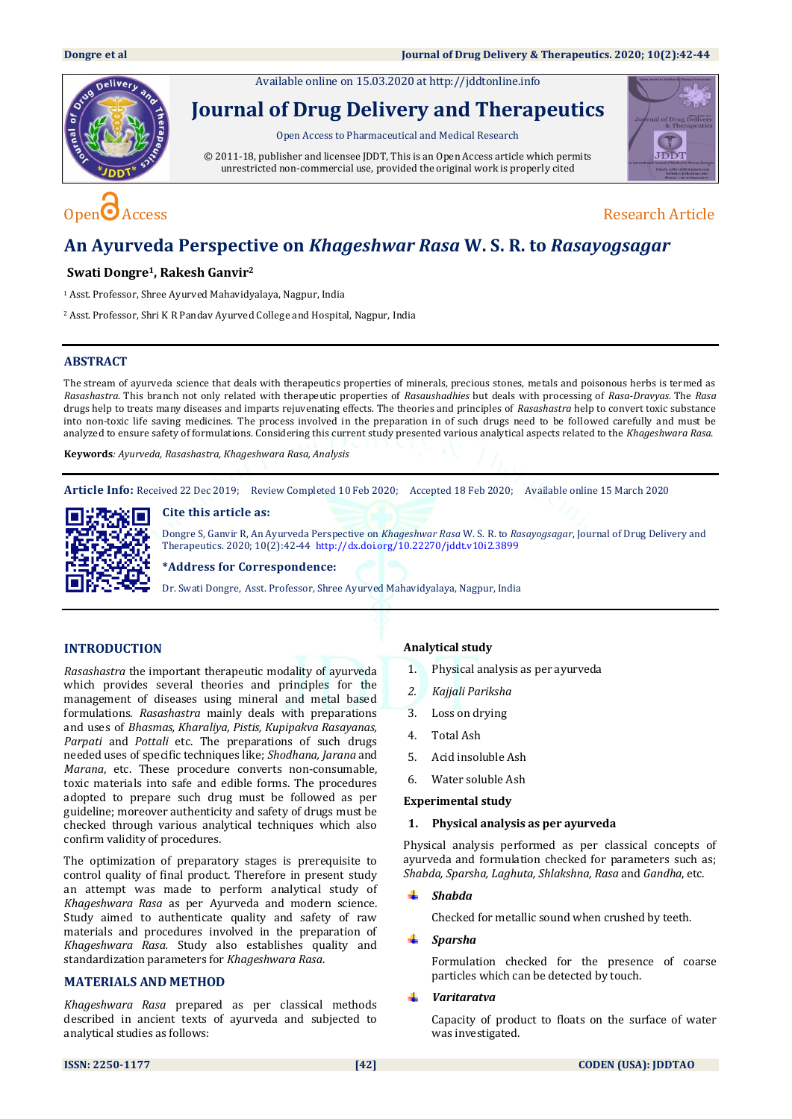Available online on 15.03.2020 at [http://jddtonline.info](http://jddtonline.info/)



# **Journal of Drug Delivery and Therapeutics**

Open Access to Pharmaceutical and Medical Research

© 2011-18, publisher and licensee JDDT, This is an Open Access article which permits unrestricted non-commercial use, provided the original work is properly cited



# Open  $\bigcirc$  Access Research Article

## **An Ayurveda Perspective on** *Khageshwar Rasa* **W. S. R. to** *Rasayogsagar*

### **Swati Dongre1, Rakesh Ganvir<sup>2</sup>**

<sup>1</sup> Asst. Professor, Shree Ayurved Mahavidyalaya, Nagpur, India

<sup>2</sup> Asst. Professor, Shri K R Pandav Ayurved College and Hospital, Nagpur, India

### **ABSTRACT**

The stream of ayurveda science that deals with therapeutics properties of minerals, precious stones, metals and poisonous herbs is termed as *Rasashastra*. This branch not only related with therapeutic properties of *Rasaushadhies* but deals with processing of *Rasa-Dravyas.* The *Rasa* drugs help to treats many diseases and imparts rejuvenating effects. The theories and principles of *Rasashastra* help to convert toxic substance into non-toxic life saving medicines. The process involved in the preparation in of such drugs need to be followed carefully and must be analyzed to ensure safety of formulations. Considering this current study presented various analytical aspects related to the *Khageshwara Rasa.*

**Keywords***: Ayurveda, Rasashastra, Khageshwara Rasa, Analysis* 

**Article Info:** Received 22 Dec 2019; Review Completed 10 Feb 2020; Accepted 18 Feb 2020; Available online 15 March 2020



**Cite this article as:**

Dongre S, Ganvir R, An Ayurveda Perspective on *Khageshwar Rasa* W. S. R. to *Rasayogsagar*, Journal of Drug Delivery and Therapeutics. 2020; 10(2):42-44<http://dx.doi.org/10.22270/jddt.v10i2.3899>

**\*Address for Correspondence:** 

Dr. Swati Dongre, Asst. Professor, Shree Ayurved Mahavidyalaya, Nagpur, India

### **INTRODUCTION**

*Rasashastra* the important therapeutic modality of ayurveda which provides several theories and principles for the management of diseases using mineral and metal based formulations. *Rasashastra* mainly deals with preparations and uses of *Bhasmas, Kharaliya, Pistis, Kupipakva Rasayanas, Parpati* and *Pottali* etc. The preparations of such drugs needed uses of specific techniques like; *Shodhana, Jarana* and *Marana*, etc. These procedure converts non-consumable, toxic materials into safe and edible forms. The procedures adopted to prepare such drug must be followed as per guideline; moreover authenticity and safety of drugs must be checked through various analytical techniques which also confirm validity of procedures.

The optimization of preparatory stages is prerequisite to control quality of final product. Therefore in present study an attempt was made to perform analytical study of *Khageshwara Rasa* as per Ayurveda and modern science. Study aimed to authenticate quality and safety of raw materials and procedures involved in the preparation of *Khageshwara Rasa.* Study also establishes quality and standardization parameters for *Khageshwara Rasa*.

### **MATERIALS AND METHOD**

*Khageshwara Rasa* prepared as per classical methods described in ancient texts of ayurveda and subjected to analytical studies as follows:

### **Analytical study**

- 1. Physical analysis as per ayurveda
- *2. Kajjali Pariksha*
- 3. Loss on drying
- 4. Total Ash
- 5. Acid insoluble Ash
- 6. Water soluble Ash

#### **Experimental study**

#### **1. Physical analysis as per ayurveda**

Physical analysis performed as per classical concepts of ayurveda and formulation checked for parameters such as; *Shabda, Sparsha, Laghuta, Shlakshna, Rasa* and *Gandha*, etc.

### *Shabda*

Checked for metallic sound when crushed by teeth.

#### *Sparsha*

Formulation checked for the presence of coarse particles which can be detected by touch.

### *Varitaratva*

Capacity of product to floats on the surface of water was investigated.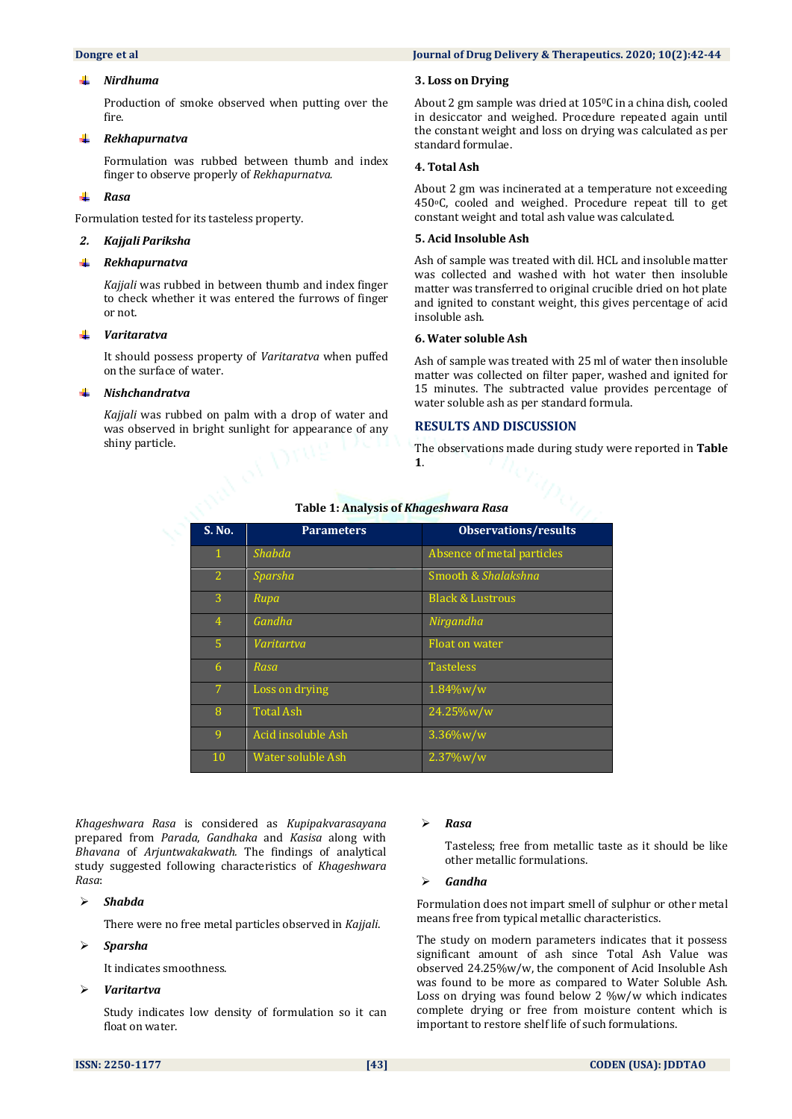#### *Nirdhuma*

Production of smoke observed when putting over the fire.

#### *Rekhapurnatva* ÷

Formulation was rubbed between thumb and index finger to observe properly of *Rekhapurnatva.*

#### ÷ *Rasa*

Formulation tested for its tasteless property.

#### *2. Kajjali Pariksha*

#### . *Rekhapurnatva*

*Kajjali* was rubbed in between thumb and index finger to check whether it was entered the furrows of finger or not.

#### a. *Varitaratva*

It should possess property of *Varitaratva* when puffed on the surface of water.

### *Nishchandratva*

*Kajjali* was rubbed on palm with a drop of water and was observed in bright sunlight for appearance of any shiny particle.

#### **Dongre** et al **Journal of Drug Delivery & Therapeutics. 2020; 10(2):42-44**

#### **3. Loss on Drying**

About 2 gm sample was dried at 1050C in a china dish, cooled in desiccator and weighed. Procedure repeated again until the constant weight and loss on drying was calculated as per standard formulae.

#### **4. Total Ash**

About 2 gm was incinerated at a temperature not exceeding 450oC, cooled and weighed. Procedure repeat till to get constant weight and total ash value was calculated.

### **5. Acid Insoluble Ash**

Ash of sample was treated with dil. HCL and insoluble matter was collected and washed with hot water then insoluble matter was transferred to original crucible dried on hot plate and ignited to constant weight, this gives percentage of acid insoluble ash.

#### **6. Water soluble Ash**

Ash of sample was treated with 25 ml of water then insoluble matter was collected on filter paper, washed and ignited for 15 minutes. The subtracted value provides percentage of water soluble ash as per standard formula.

#### **RESULTS AND DISCUSSION**

The observations made during study were reported in **Table 1**.

| S. No.         | <b>Parameters</b>  | <b>Observations/results</b> |
|----------------|--------------------|-----------------------------|
| $\mathbf{1}$   | <b>Shabda</b>      | Absence of metal particles  |
| $\overline{2}$ | Sparsha            | Smooth & Shalakshna         |
| 3              | Rupa               | <b>Black &amp; Lustrous</b> |
| 4              | Gandha             | Nirgandha                   |
| 5 <sup>1</sup> | Varitartva         | <b>Float on water</b>       |
| 6              | Rasa               | <b>Tasteless</b>            |
| $\overline{7}$ | Loss on drying     | 1.84%w/w                    |
| 8              | <b>Total Ash</b>   | 24.25%w/w                   |
| 9              | Acid insoluble Ash | $3.36\%$ w/w                |
| 10             | Water soluble Ash  | 2.37%w/w                    |

#### **Table 1: Analysis of** *Khageshwara Rasa*

*Khageshwara Rasa* is considered as *Kupipakvarasayana* prepared from *Parada*, *Gandhaka* and *Kasisa* along with *Bhavana* of *Arjuntwakakwath.* The findings of analytical study suggested following characteristics of *Khageshwara Rasa*:

#### *Shabda*

There were no free metal particles observed in *Kajjali*.

#### *Sparsha*

It indicates smoothness.

#### *Varitartva*

Study indicates low density of formulation so it can float on water.

#### *Rasa*

Tasteless; free from metallic taste as it should be like other metallic formulations.

#### *Gandha*

Formulation does not impart smell of sulphur or other metal means free from typical metallic characteristics.

The study on modern parameters indicates that it possess significant amount of ash since Total Ash Value was observed 24.25%w/w, the component of Acid Insoluble Ash was found to be more as compared to Water Soluble Ash. Loss on drying was found below 2 %w/w which indicates complete drying or free from moisture content which is important to restore shelf life of such formulations.